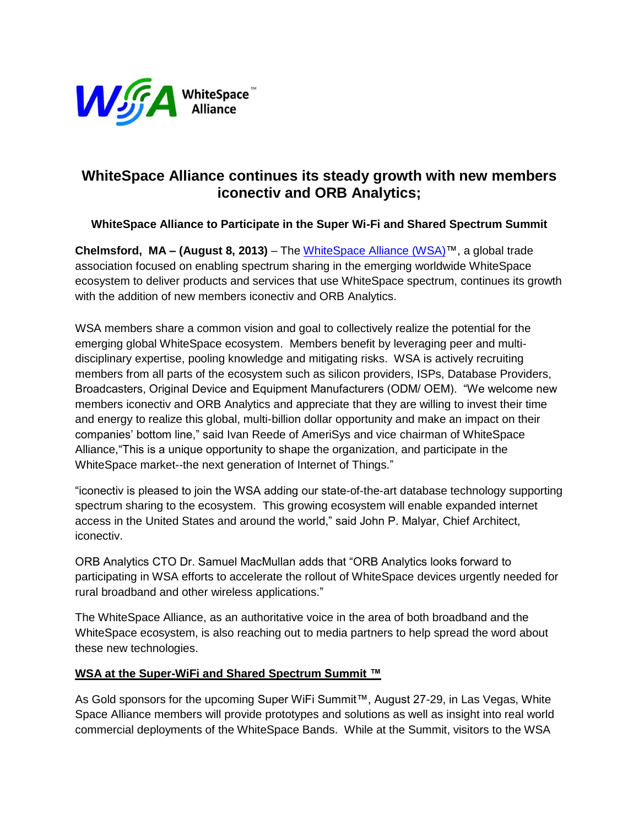

# **WhiteSpace Alliance continues its steady growth with new members iconectiv and ORB Analytics;**

## **WhiteSpace Alliance to Participate in the Super Wi-Fi and Shared Spectrum Summit**

**Chelmsford, MA – (August 8, 2013)** – The [WhiteSpace Alliance](http://cts.businesswire.com/ct/CT?id=smartlink&url=http%3A%2F%2Fwww.whitespacealliance.org&esheet=50107806&lan=en-US&anchor=WhiteSpace+Alliance&index=1&md5=dc961dfb9d10975bc7075a94772ac5ba) (WSA)™, a global trade association focused on enabling spectrum sharing in the emerging worldwide WhiteSpace ecosystem to deliver products and services that use WhiteSpace spectrum, continues its growth with the addition of new members iconectiv and ORB Analytics.

WSA members share a common vision and goal to collectively realize the potential for the emerging global WhiteSpace ecosystem. Members benefit by leveraging peer and multidisciplinary expertise, pooling knowledge and mitigating risks. WSA is actively recruiting members from all parts of the ecosystem such as silicon providers, ISPs, Database Providers, Broadcasters, Original Device and Equipment Manufacturers (ODM/ OEM). "We welcome new members iconectiv and ORB Analytics and appreciate that they are willing to invest their time and energy to realize this global, multi-billion dollar opportunity and make an impact on their companies' bottom line," said Ivan Reede of AmeriSys and vice chairman of WhiteSpace Alliance,"This is a unique opportunity to shape the organization, and participate in the WhiteSpace market--the next generation of Internet of Things."

"iconectiv is pleased to join the WSA adding our state-of-the-art database technology supporting spectrum sharing to the ecosystem. This growing ecosystem will enable expanded internet access in the United States and around the world," said John P. Malyar, Chief Architect, iconectiv.

ORB Analytics CTO Dr. Samuel MacMullan adds that "ORB Analytics looks forward to participating in WSA efforts to accelerate the rollout of WhiteSpace devices urgently needed for rural broadband and other wireless applications."

The WhiteSpace Alliance, as an authoritative voice in the area of both broadband and the WhiteSpace ecosystem, is also reaching out to media partners to help spread the word about these new technologies.

## **WSA at the Super-WiFi and Shared Spectrum Summit ™**

As Gold sponsors for the upcoming Super WiFi Summit™, August 27-29, in Las Vegas, White Space Alliance members will provide prototypes and solutions as well as insight into real world commercial deployments of the WhiteSpace Bands. While at the Summit, visitors to the WSA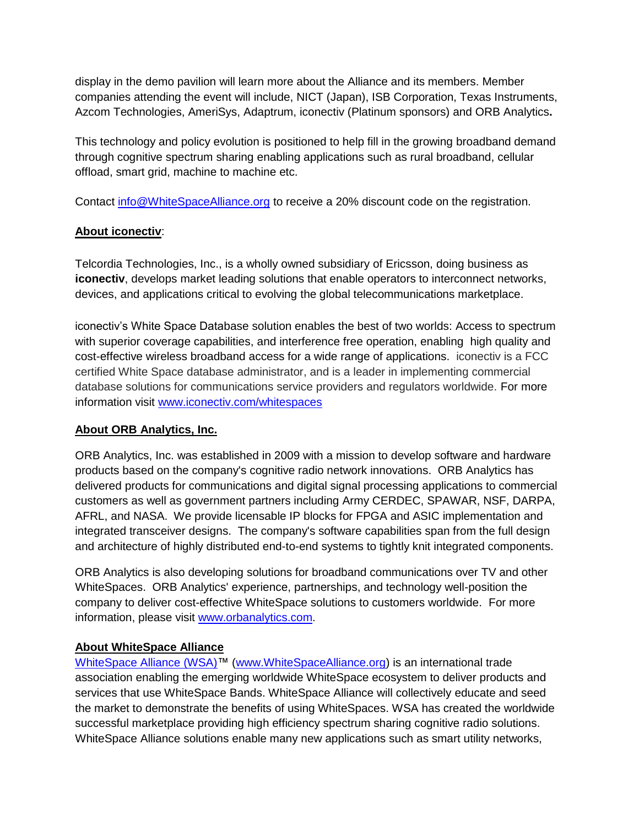display in the demo pavilion will learn more about the Alliance and its members. Member companies attending the event will include, NICT (Japan), ISB Corporation, Texas Instruments, Azcom Technologies, AmeriSys, Adaptrum, iconectiv (Platinum sponsors) and ORB Analytics**.**

This technology and policy evolution is positioned to help fill in the growing broadband demand through cognitive spectrum sharing enabling applications such as rural broadband, cellular offload, smart grid, machine to machine etc.

Contact [info@WhiteSpaceAlliance.org](mailto:info@WhiteSpaceAlliance.org) to receive a 20% discount code on the registration.

## **About iconectiv**:

Telcordia Technologies, Inc., is a wholly owned subsidiary of Ericsson, doing business as **iconectiv**, develops market leading solutions that enable operators to interconnect networks, devices, and applications critical to evolving the global telecommunications marketplace.

iconectiv's White Space Database solution enables the best of two worlds: Access to spectrum with superior coverage capabilities, and interference free operation, enabling high quality and cost-effective wireless broadband access for a wide range of applications. iconectiv is a FCC certified White Space database administrator, and is a leader in implementing commercial database solutions for communications service providers and regulators worldwide. For more information visit [www.iconectiv.com/whitespaces](http://www.iconectiv.com/whitespaces)

## **About ORB Analytics, Inc.**

ORB Analytics, Inc. was established in 2009 with a mission to develop software and hardware products based on the company's cognitive radio network innovations. ORB Analytics has delivered products for communications and digital signal processing applications to commercial customers as well as government partners including Army CERDEC, SPAWAR, NSF, DARPA, AFRL, and NASA. We provide licensable IP blocks for FPGA and ASIC implementation and integrated transceiver designs. The company's software capabilities span from the full design and architecture of highly distributed end-to-end systems to tightly knit integrated components.

ORB Analytics is also developing solutions for broadband communications over TV and other WhiteSpaces. ORB Analytics' experience, partnerships, and technology well-position the company to deliver cost-effective WhiteSpace solutions to customers worldwide. For more information, please visit [www.orbanalytics.com.](http://www.orbanalytics.com/)

## **About WhiteSpace Alliance**

[WhiteSpace Alliance](http://cts.businesswire.com/ct/CT?id=smartlink&url=http%3A%2F%2Fwww.whitespacealliance.org&esheet=50107806&lan=en-US&anchor=WhiteSpace+Alliance&index=1&md5=dc961dfb9d10975bc7075a94772ac5ba) (WSA)™ [\(www.WhiteSpaceAlliance.org\)](http://www.whitespacealliance.org/) is an international trade association enabling the emerging worldwide WhiteSpace ecosystem to deliver products and services that use WhiteSpace Bands. WhiteSpace Alliance will collectively educate and seed the market to demonstrate the benefits of using WhiteSpaces. WSA has created the worldwide successful marketplace providing high efficiency spectrum sharing cognitive radio solutions. WhiteSpace Alliance solutions enable many new applications such as smart utility networks,